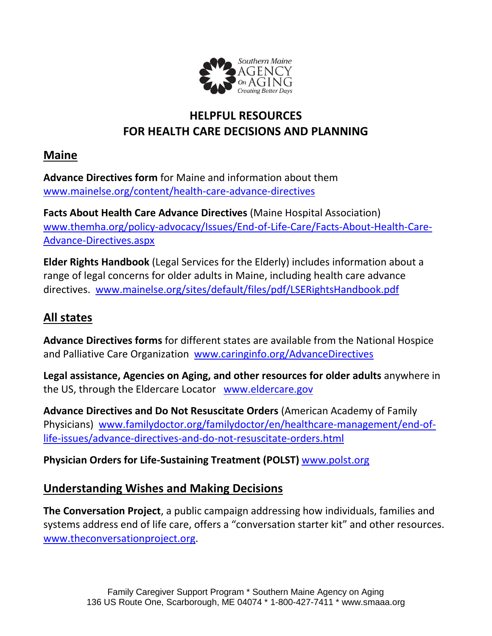

# **HELPFUL RESOURCES FOR HEALTH CARE DECISIONS AND PLANNING**

#### **Maine**

**Advance Directives form** for Maine and information about them [www.mainelse.org/content/health-care-advance-directives](http://www.mainelse.org/content/health-care-advance-directives)

**Facts About Health Care Advance Directives** (Maine Hospital Association) [www.themha.org/policy-advocacy/Issues/End-of-Life-Care/Facts-About-Health-Care-](http://www.themha.org/policy-advocacy/Issues/End-of-Life-Care/Facts-About-Health-Care-Advance-Directives.aspx)[Advance-Directives.aspx](http://www.themha.org/policy-advocacy/Issues/End-of-Life-Care/Facts-About-Health-Care-Advance-Directives.aspx)

**Elder Rights Handbook** (Legal Services for the Elderly) includes information about a range of legal concerns for older adults in Maine, including health care advance directives. [www.mainelse.org/sites/default/files/pdf/LSERightsHandbook.pdf](http://www.mainelse.org/sites/default/files/pdf/LSERightsHandbook.pdf)

# **All states**

**Advance Directives forms** for different states are available from the National Hospice and Palliative Care Organization [www.caringinfo.org/AdvanceDirectives](http://www.caringinfo.org/AdvanceDirectives)

**Legal assistance, Agencies on Aging, and other resources for older adults** anywhere in the US, through the Eldercare Locator [www.eldercare.gov](http://www.eldercare.gov/)

**Advance Directives and Do Not Resuscitate Orders** (American Academy of Family Physicians) [www.familydoctor.org/familydoctor/en/healthcare-management/end-of](http://www.familydoctor.org/familydoctor/en/healthcare-management/end-of-life-issues/advance-directives-and-do-not-resuscitate-orders.html)[life-issues/advance-directives-and-do-not-resuscitate-orders.html](http://www.familydoctor.org/familydoctor/en/healthcare-management/end-of-life-issues/advance-directives-and-do-not-resuscitate-orders.html)

**Physician Orders for Life-Sustaining Treatment (POLST)** [www.polst.org](http://www.polst.org/)

#### **Understanding Wishes and Making Decisions**

**The Conversation Project**, a public campaign addressing how individuals, families and systems address end of life care, offers a "conversation starter kit" and other resources. [www.theconversationproject.org.](http://www.theconversationproject.org/)